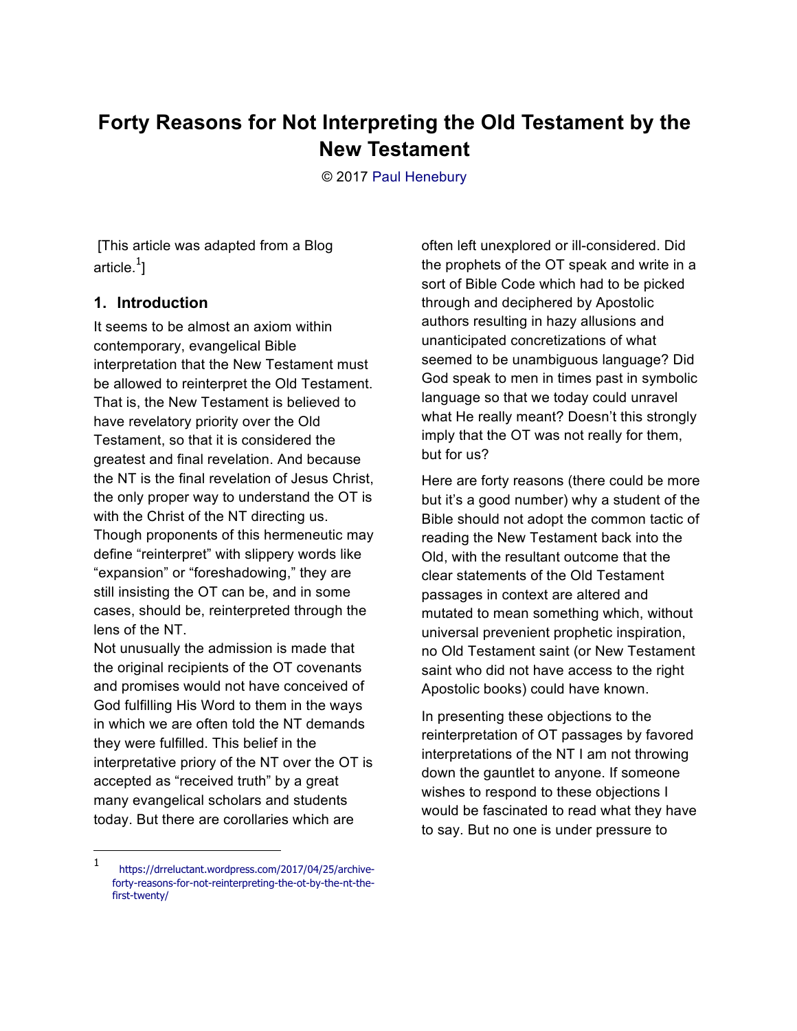## **Forty Reasons for Not Interpreting the Old Testament by the New Testament**

© 2017 Paul Henebury

 [This article was adapted from a Blog article. $^1\!]$ 

## **1. Introduction**

It seems to be almost an axiom within contemporary, evangelical Bible interpretation that the New Testament must be allowed to reinterpret the Old Testament. That is, the New Testament is believed to have revelatory priority over the Old Testament, so that it is considered the greatest and final revelation. And because the NT is the final revelation of Jesus Christ, the only proper way to understand the OT is with the Christ of the NT directing us. Though proponents of this hermeneutic may define "reinterpret" with slippery words like "expansion" or "foreshadowing," they are still insisting the OT can be, and in some cases, should be, reinterpreted through the lens of the NT.

Not unusually the admission is made that the original recipients of the OT covenants and promises would not have conceived of God fulfilling His Word to them in the ways in which we are often told the NT demands they were fulfilled. This belief in the interpretative priory of the NT over the OT is accepted as "received truth" by a great many evangelical scholars and students today. But there are corollaries which are

-

often left unexplored or ill-considered. Did the prophets of the OT speak and write in a sort of Bible Code which had to be picked through and deciphered by Apostolic authors resulting in hazy allusions and unanticipated concretizations of what seemed to be unambiguous language? Did God speak to men in times past in symbolic language so that we today could unravel what He really meant? Doesn't this strongly imply that the OT was not really for them, but for us?

Here are forty reasons (there could be more but it's a good number) why a student of the Bible should not adopt the common tactic of reading the New Testament back into the Old, with the resultant outcome that the clear statements of the Old Testament passages in context are altered and mutated to mean something which, without universal prevenient prophetic inspiration, no Old Testament saint (or New Testament saint who did not have access to the right Apostolic books) could have known.

In presenting these objections to the reinterpretation of OT passages by favored interpretations of the NT I am not throwing down the gauntlet to anyone. If someone wishes to respond to these objections I would be fascinated to read what they have to say. But no one is under pressure to

<sup>1</sup> https://drreluctant.wordpress.com/2017/04/25/archiveforty-reasons-for-not-reinterpreting-the-ot-by-the-nt-thefirst-twenty/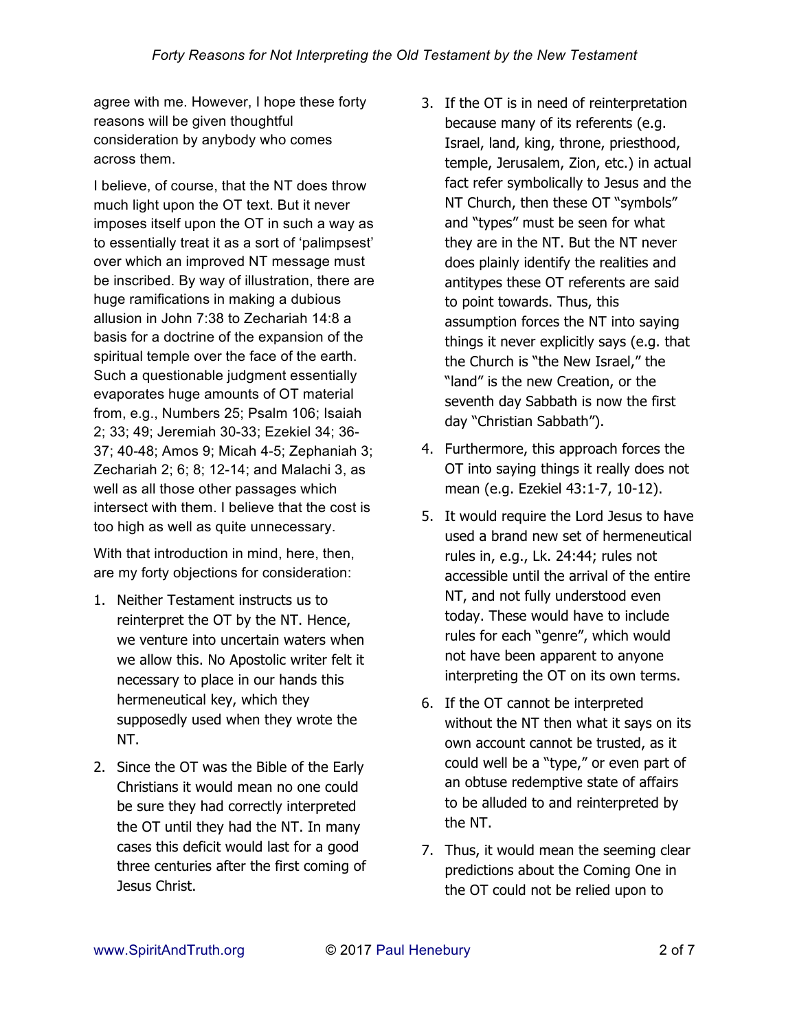agree with me. However, I hope these forty reasons will be given thoughtful consideration by anybody who comes across them.

I believe, of course, that the NT does throw much light upon the OT text. But it never imposes itself upon the OT in such a way as to essentially treat it as a sort of 'palimpsest' over which an improved NT message must be inscribed. By way of illustration, there are huge ramifications in making a dubious allusion in John 7:38 to Zechariah 14:8 a basis for a doctrine of the expansion of the spiritual temple over the face of the earth. Such a questionable judgment essentially evaporates huge amounts of OT material from, e.g., Numbers 25; Psalm 106; Isaiah 2; 33; 49; Jeremiah 30-33; Ezekiel 34; 36- 37; 40-48; Amos 9; Micah 4-5; Zephaniah 3; Zechariah 2; 6; 8; 12-14; and Malachi 3, as well as all those other passages which intersect with them. I believe that the cost is too high as well as quite unnecessary.

With that introduction in mind, here, then, are my forty objections for consideration:

- 1. Neither Testament instructs us to reinterpret the OT by the NT. Hence, we venture into uncertain waters when we allow this. No Apostolic writer felt it necessary to place in our hands this hermeneutical key, which they supposedly used when they wrote the NT.
- 2. Since the OT was the Bible of the Early Christians it would mean no one could be sure they had correctly interpreted the OT until they had the NT. In many cases this deficit would last for a good three centuries after the first coming of Jesus Christ.
- 3. If the OT is in need of reinterpretation because many of its referents (e.g. Israel, land, king, throne, priesthood, temple, Jerusalem, Zion, etc.) in actual fact refer symbolically to Jesus and the NT Church, then these OT "symbols" and "types" must be seen for what they are in the NT. But the NT never does plainly identify the realities and antitypes these OT referents are said to point towards. Thus, this assumption forces the NT into saying things it never explicitly says (e.g. that the Church is "the New Israel," the "land" is the new Creation, or the seventh day Sabbath is now the first day "Christian Sabbath").
- 4. Furthermore, this approach forces the OT into saying things it really does not mean (e.g. Ezekiel 43:1-7, 10-12).
- 5. It would require the Lord Jesus to have used a brand new set of hermeneutical rules in, e.g., Lk. 24:44; rules not accessible until the arrival of the entire NT, and not fully understood even today. These would have to include rules for each "genre", which would not have been apparent to anyone interpreting the OT on its own terms.
- 6. If the OT cannot be interpreted without the NT then what it says on its own account cannot be trusted, as it could well be a "type," or even part of an obtuse redemptive state of affairs to be alluded to and reinterpreted by the NT.
- 7. Thus, it would mean the seeming clear predictions about the Coming One in the OT could not be relied upon to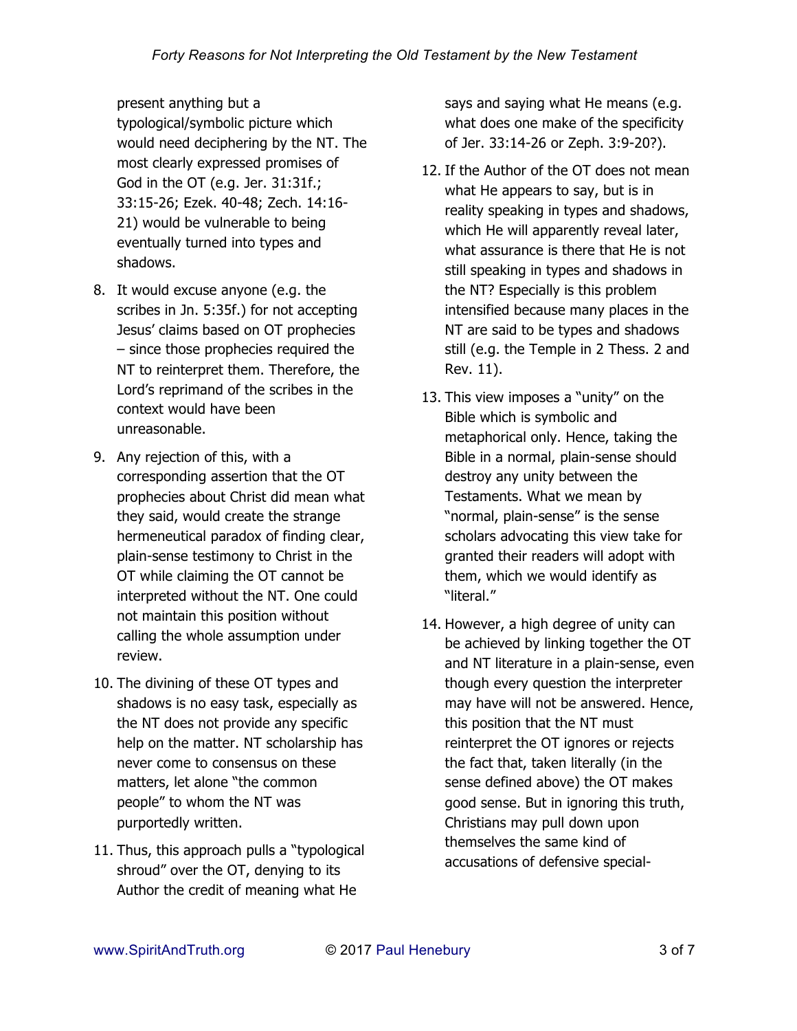present anything but a typological/symbolic picture which would need deciphering by the NT. The most clearly expressed promises of God in the OT (e.g. Jer. 31:31f.; 33:15-26; Ezek. 40-48; Zech. 14:16- 21) would be vulnerable to being eventually turned into types and shadows.

- 8. It would excuse anyone (e.g. the scribes in Jn. 5:35f.) for not accepting Jesus' claims based on OT prophecies – since those prophecies required the NT to reinterpret them. Therefore, the Lord's reprimand of the scribes in the context would have been unreasonable.
- 9. Any rejection of this, with a corresponding assertion that the OT prophecies about Christ did mean what they said, would create the strange hermeneutical paradox of finding clear, plain-sense testimony to Christ in the OT while claiming the OT cannot be interpreted without the NT. One could not maintain this position without calling the whole assumption under review.
- 10. The divining of these OT types and shadows is no easy task, especially as the NT does not provide any specific help on the matter. NT scholarship has never come to consensus on these matters, let alone "the common people" to whom the NT was purportedly written.
- 11. Thus, this approach pulls a "typological shroud" over the OT, denying to its Author the credit of meaning what He

says and saying what He means (e.g. what does one make of the specificity of Jer. 33:14-26 or Zeph. 3:9-20?).

- 12. If the Author of the OT does not mean what He appears to say, but is in reality speaking in types and shadows, which He will apparently reveal later, what assurance is there that He is not still speaking in types and shadows in the NT? Especially is this problem intensified because many places in the NT are said to be types and shadows still (e.g. the Temple in 2 Thess. 2 and Rev. 11).
- 13. This view imposes a "unity" on the Bible which is symbolic and metaphorical only. Hence, taking the Bible in a normal, plain-sense should destroy any unity between the Testaments. What we mean by "normal, plain-sense" is the sense scholars advocating this view take for granted their readers will adopt with them, which we would identify as "literal."
- 14. However, a high degree of unity can be achieved by linking together the OT and NT literature in a plain-sense, even though every question the interpreter may have will not be answered. Hence, this position that the NT must reinterpret the OT ignores or rejects the fact that, taken literally (in the sense defined above) the OT makes good sense. But in ignoring this truth, Christians may pull down upon themselves the same kind of accusations of defensive special-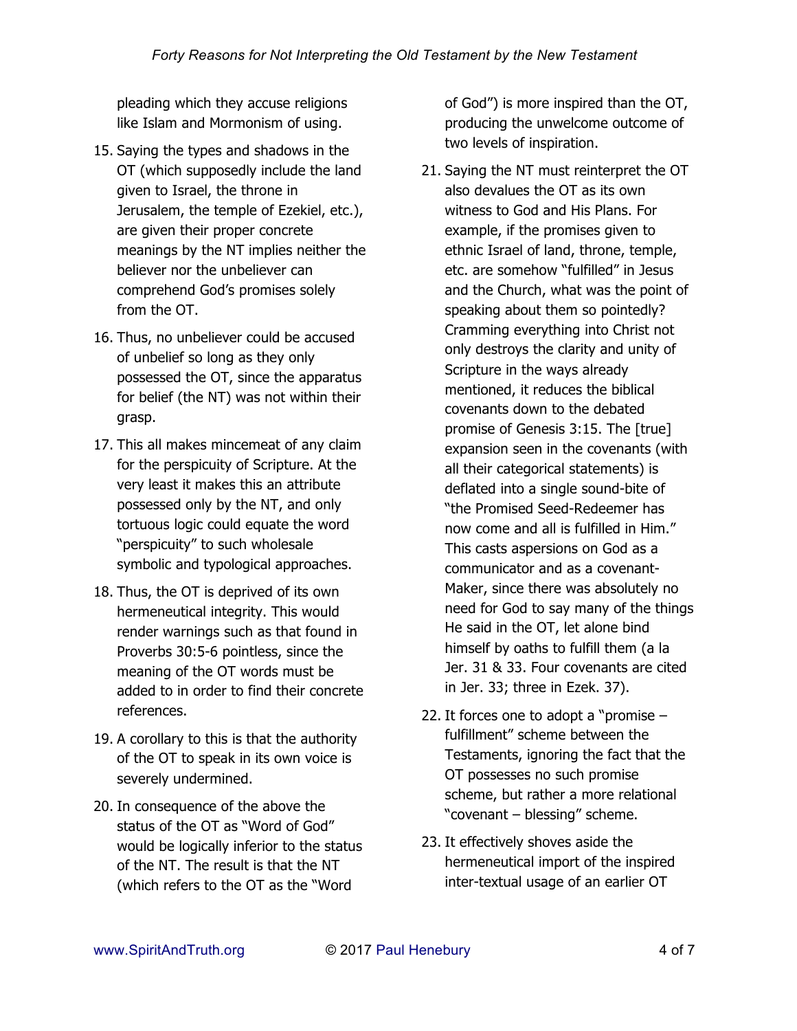pleading which they accuse religions like Islam and Mormonism of using.

- 15. Saying the types and shadows in the OT (which supposedly include the land given to Israel, the throne in Jerusalem, the temple of Ezekiel, etc.), are given their proper concrete meanings by the NT implies neither the believer nor the unbeliever can comprehend God's promises solely from the OT.
- 16. Thus, no unbeliever could be accused of unbelief so long as they only possessed the OT, since the apparatus for belief (the NT) was not within their grasp.
- 17. This all makes mincemeat of any claim for the perspicuity of Scripture. At the very least it makes this an attribute possessed only by the NT, and only tortuous logic could equate the word "perspicuity" to such wholesale symbolic and typological approaches.
- 18. Thus, the OT is deprived of its own hermeneutical integrity. This would render warnings such as that found in Proverbs 30:5-6 pointless, since the meaning of the OT words must be added to in order to find their concrete references.
- 19. A corollary to this is that the authority of the OT to speak in its own voice is severely undermined.
- 20. In consequence of the above the status of the OT as "Word of God" would be logically inferior to the status of the NT. The result is that the NT (which refers to the OT as the "Word

of God") is more inspired than the OT, producing the unwelcome outcome of two levels of inspiration.

- 21. Saying the NT must reinterpret the OT also devalues the OT as its own witness to God and His Plans. For example, if the promises given to ethnic Israel of land, throne, temple, etc. are somehow "fulfilled" in Jesus and the Church, what was the point of speaking about them so pointedly? Cramming everything into Christ not only destroys the clarity and unity of Scripture in the ways already mentioned, it reduces the biblical covenants down to the debated promise of Genesis 3:15. The [true] expansion seen in the covenants (with all their categorical statements) is deflated into a single sound-bite of "the Promised Seed-Redeemer has now come and all is fulfilled in Him." This casts aspersions on God as a communicator and as a covenant-Maker, since there was absolutely no need for God to say many of the things He said in the OT, let alone bind himself by oaths to fulfill them (a la Jer. 31 & 33. Four covenants are cited in Jer. 33; three in Ezek. 37).
- 22. It forces one to adopt a "promise fulfillment" scheme between the Testaments, ignoring the fact that the OT possesses no such promise scheme, but rather a more relational "covenant – blessing" scheme.
- 23. It effectively shoves aside the hermeneutical import of the inspired inter-textual usage of an earlier OT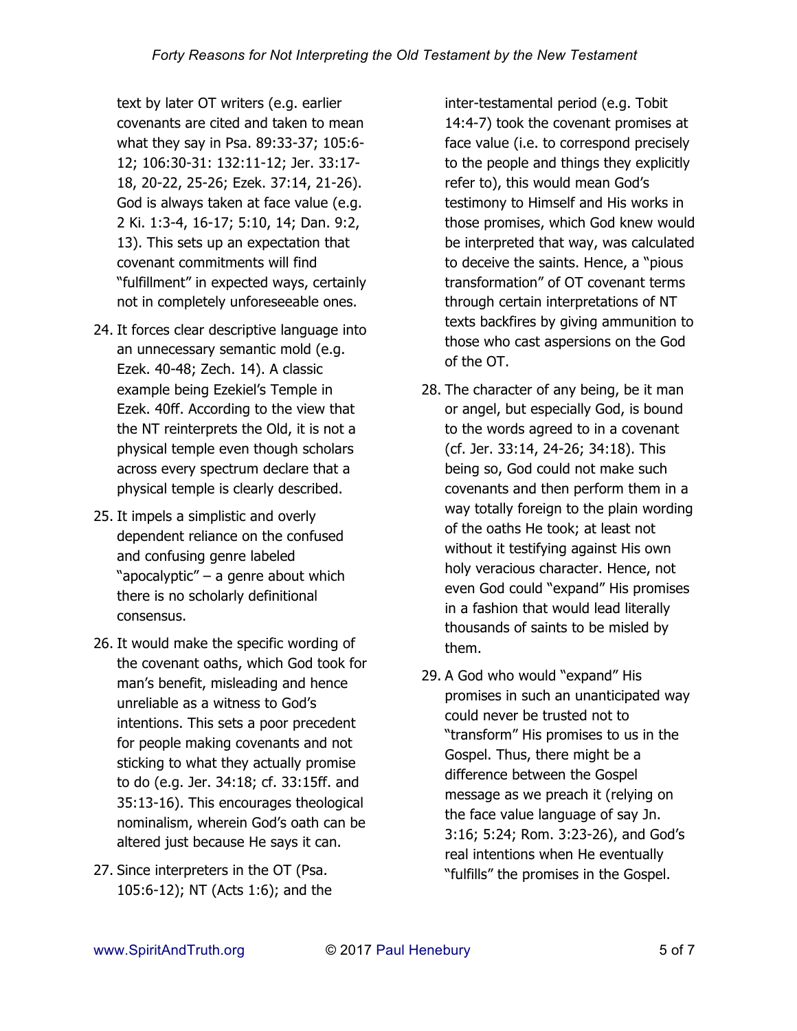text by later OT writers (e.g. earlier covenants are cited and taken to mean what they say in Psa. 89:33-37; 105:6- 12; 106:30-31: 132:11-12; Jer. 33:17- 18, 20-22, 25-26; Ezek. 37:14, 21-26). God is always taken at face value (e.g. 2 Ki. 1:3-4, 16-17; 5:10, 14; Dan. 9:2, 13). This sets up an expectation that covenant commitments will find "fulfillment" in expected ways, certainly not in completely unforeseeable ones.

- 24. It forces clear descriptive language into an unnecessary semantic mold (e.g. Ezek. 40-48; Zech. 14). A classic example being Ezekiel's Temple in Ezek. 40ff. According to the view that the NT reinterprets the Old, it is not a physical temple even though scholars across every spectrum declare that a physical temple is clearly described.
- 25. It impels a simplistic and overly dependent reliance on the confused and confusing genre labeled "apocalyptic" – a genre about which there is no scholarly definitional consensus.
- 26. It would make the specific wording of the covenant oaths, which God took for man's benefit, misleading and hence unreliable as a witness to God's intentions. This sets a poor precedent for people making covenants and not sticking to what they actually promise to do (e.g. Jer. 34:18; cf. 33:15ff. and 35:13-16). This encourages theological nominalism, wherein God's oath can be altered just because He says it can.
- 27. Since interpreters in the OT (Psa. 105:6-12); NT (Acts 1:6); and the

inter-testamental period (e.g. Tobit 14:4-7) took the covenant promises at face value (i.e. to correspond precisely to the people and things they explicitly refer to), this would mean God's testimony to Himself and His works in those promises, which God knew would be interpreted that way, was calculated to deceive the saints. Hence, a "pious transformation" of OT covenant terms through certain interpretations of NT texts backfires by giving ammunition to those who cast aspersions on the God of the OT.

- 28. The character of any being, be it man or angel, but especially God, is bound to the words agreed to in a covenant (cf. Jer. 33:14, 24-26; 34:18). This being so, God could not make such covenants and then perform them in a way totally foreign to the plain wording of the oaths He took; at least not without it testifying against His own holy veracious character. Hence, not even God could "expand" His promises in a fashion that would lead literally thousands of saints to be misled by them.
- 29. A God who would "expand" His promises in such an unanticipated way could never be trusted not to "transform" His promises to us in the Gospel. Thus, there might be a difference between the Gospel message as we preach it (relying on the face value language of say Jn. 3:16; 5:24; Rom. 3:23-26), and God's real intentions when He eventually "fulfills" the promises in the Gospel.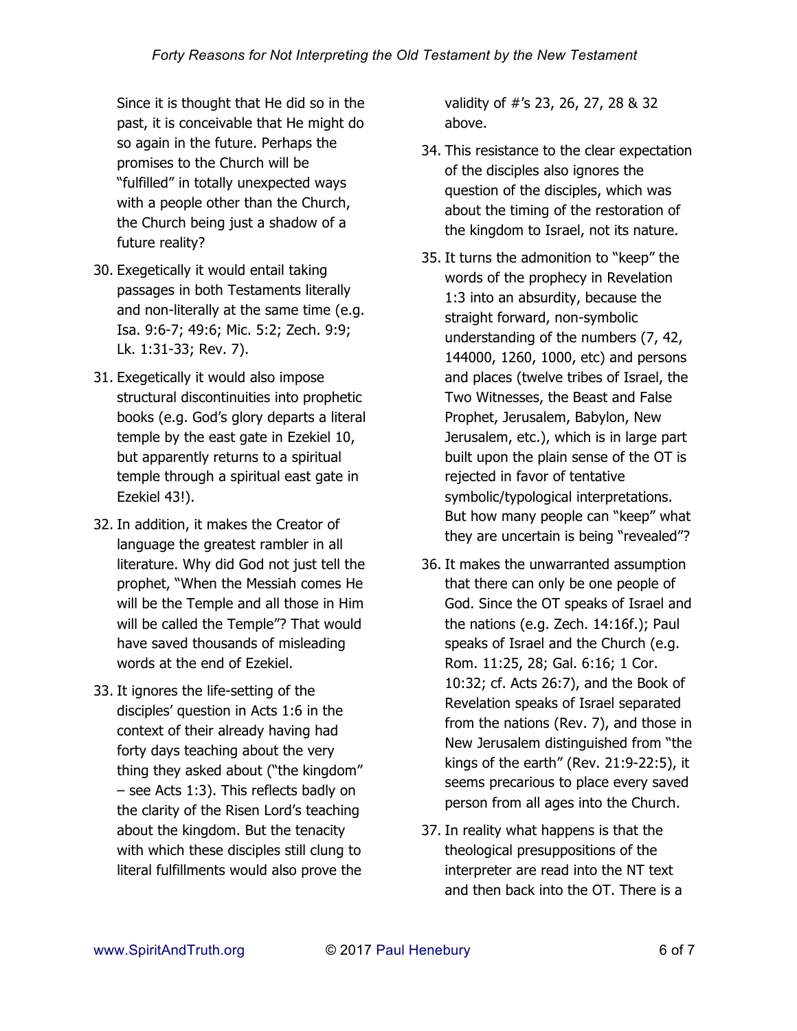Since it is thought that He did so in the past, it is conceivable that He might do so again in the future. Perhaps the promises to the Church will be "fulfilled" in totally unexpected ways with a people other than the Church, the Church being just a shadow of a future reality?

- 30. Exegetically it would entail taking passages in both Testaments literally and non-literally at the same time (e.g. Isa. 9:6-7; 49:6; Mic. 5:2; Zech. 9:9; Lk. 1:31-33; Rev. 7).
- 31. Exegetically it would also impose structural discontinuities into prophetic books (e.g. God's glory departs a literal temple by the east gate in Ezekiel 10, but apparently returns to a spiritual temple through a spiritual east gate in Ezekiel 43!).
- 32. In addition, it makes the Creator of language the greatest rambler in all literature. Why did God not just tell the prophet, "When the Messiah comes He will be the Temple and all those in Him will be called the Temple"? That would have saved thousands of misleading words at the end of Ezekiel.
- 33. It ignores the life-setting of the disciples' question in Acts 1:6 in the context of their already having had forty days teaching about the very thing they asked about ("the kingdom" – see Acts 1:3). This reflects badly on the clarity of the Risen Lord's teaching about the kingdom. But the tenacity with which these disciples still clung to literal fulfillments would also prove the

validity of #'s 23, 26, 27, 28 & 32 above.

- 34. This resistance to the clear expectation of the disciples also ignores the question of the disciples, which was about the timing of the restoration of the kingdom to Israel, not its nature.
- 35. It turns the admonition to "keep" the words of the prophecy in Revelation 1:3 into an absurdity, because the straight forward, non-symbolic understanding of the numbers (7, 42, 144000, 1260, 1000, etc) and persons and places (twelve tribes of Israel, the Two Witnesses, the Beast and False Prophet, Jerusalem, Babylon, New Jerusalem, etc.), which is in large part built upon the plain sense of the OT is rejected in favor of tentative symbolic/typological interpretations. But how many people can "keep" what they are uncertain is being "revealed"?
- 36. It makes the unwarranted assumption that there can only be one people of God. Since the OT speaks of Israel and the nations (e.g. Zech. 14:16f.); Paul speaks of Israel and the Church (e.g. Rom. 11:25, 28; Gal. 6:16; 1 Cor. 10:32; cf. Acts 26:7), and the Book of Revelation speaks of Israel separated from the nations (Rev. 7), and those in New Jerusalem distinguished from "the kings of the earth" (Rev. 21:9-22:5), it seems precarious to place every saved person from all ages into the Church.
- 37. In reality what happens is that the theological presuppositions of the interpreter are read into the NT text and then back into the OT. There is a